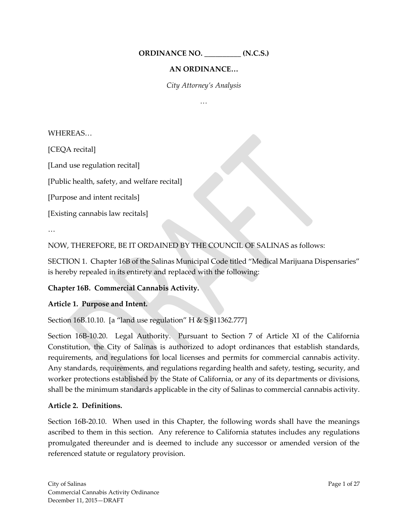**ORDINANCE NO. \_\_\_\_\_\_\_\_\_\_ (N.C.S.)**

### **AN ORDINANCE…**

*City Attorney's Analysis*

*…*

### WHEREAS…

[CEQA recital]

[Land use regulation recital]

[Public health, safety, and welfare recital]

[Purpose and intent recitals]

[Existing cannabis law recitals]

…

NOW, THEREFORE, BE IT ORDAINED BY THE COUNCIL OF SALINAS as follows:

SECTION 1. Chapter 16B of the Salinas Municipal Code titled "Medical Marijuana Dispensaries" is hereby repealed in its entirety and replaced with the following:

### **Chapter 16B. Commercial Cannabis Activity.**

#### **Article 1. Purpose and Intent.**

Section 16B.10.10. [a "land use regulation" H & S §11362.777]

Section 16B-10.20. Legal Authority. Pursuant to Section 7 of Article XI of the California Constitution, the City of Salinas is authorized to adopt ordinances that establish standards, requirements, and regulations for local licenses and permits for commercial cannabis activity. Any standards, requirements, and regulations regarding health and safety, testing, security, and worker protections established by the State of California, or any of its departments or divisions, shall be the minimum standards applicable in the city of Salinas to commercial cannabis activity.

### **Article 2. Definitions.**

Section 16B-20.10. When used in this Chapter, the following words shall have the meanings ascribed to them in this section. Any reference to California statutes includes any regulations promulgated thereunder and is deemed to include any successor or amended version of the referenced statute or regulatory provision.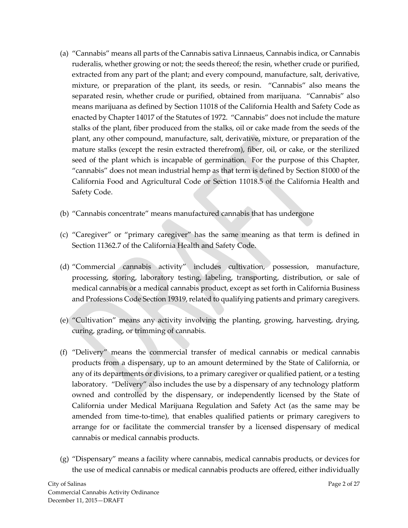- (a) "Cannabis" means all parts of the Cannabis sativa Linnaeus, Cannabis indica, or Cannabis ruderalis, whether growing or not; the seeds thereof; the resin, whether crude or purified, extracted from any part of the plant; and every compound, manufacture, salt, derivative, mixture, or preparation of the plant, its seeds, or resin. "Cannabis" also means the separated resin, whether crude or purified, obtained from marijuana. "Cannabis" also means marijuana as defined by Section 11018 of the California Health and Safety Code as enacted by Chapter 14017 of the Statutes of 1972. "Cannabis" does not include the mature stalks of the plant, fiber produced from the stalks, oil or cake made from the seeds of the plant, any other compound, manufacture, salt, derivative, mixture, or preparation of the mature stalks (except the resin extracted therefrom), fiber, oil, or cake, or the sterilized seed of the plant which is incapable of germination. For the purpose of this Chapter, "cannabis" does not mean industrial hemp as that term is defined by Section 81000 of the California Food and Agricultural Code or Section 11018.5 of the California Health and Safety Code.
- (b) "Cannabis concentrate" means manufactured cannabis that has undergone
- (c) "Caregiver" or "primary caregiver" has the same meaning as that term is defined in Section 11362.7 of the California Health and Safety Code.
- (d) "Commercial cannabis activity" includes cultivation, possession, manufacture, processing, storing, laboratory testing, labeling, transporting, distribution, or sale of medical cannabis or a medical cannabis product, except as set forth in California Business and Professions Code Section 19319, related to qualifying patients and primary caregivers.
- (e) "Cultivation" means any activity involving the planting, growing, harvesting, drying, curing, grading, or trimming of cannabis.
- (f) "Delivery" means the commercial transfer of medical cannabis or medical cannabis products from a dispensary, up to an amount determined by the State of California, or any of its departments or divisions, to a primary caregiver or qualified patient, or a testing laboratory. "Delivery" also includes the use by a dispensary of any technology platform owned and controlled by the dispensary, or independently licensed by the State of California under Medical Marijuana Regulation and Safety Act (as the same may be amended from time-to-time), that enables qualified patients or primary caregivers to arrange for or facilitate the commercial transfer by a licensed dispensary of medical cannabis or medical cannabis products.
- (g) "Dispensary" means a facility where cannabis, medical cannabis products, or devices for the use of medical cannabis or medical cannabis products are offered, either individually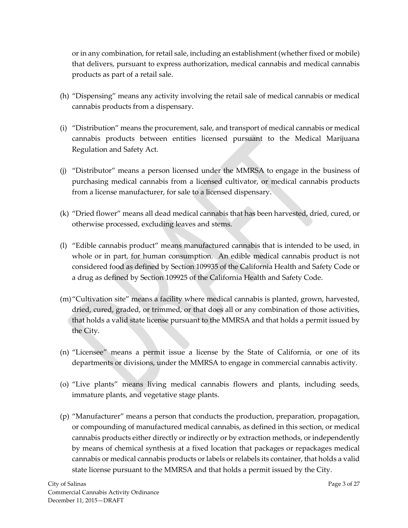or in any combination, for retail sale, including an establishment (whether fixed or mobile) that delivers, pursuant to express authorization, medical cannabis and medical cannabis products as part of a retail sale.

- (h) "Dispensing" means any activity involving the retail sale of medical cannabis or medical cannabis products from a dispensary.
- (i) "Distribution" means the procurement, sale, and transport of medical cannabis or medical cannabis products between entities licensed pursuant to the Medical Marijuana Regulation and Safety Act.
- (j) "Distributor" means a person licensed under the MMRSA to engage in the business of purchasing medical cannabis from a licensed cultivator, or medical cannabis products from a license manufacturer, for sale to a licensed dispensary.
- (k) "Dried flower" means all dead medical cannabis that has been harvested, dried, cured, or otherwise processed, excluding leaves and stems.
- (l) "Edible cannabis product" means manufactured cannabis that is intended to be used, in whole or in part, for human consumption. An edible medical cannabis product is not considered food as defined by Section 109935 of the California Health and Safety Code or a drug as defined by Section 109925 of the California Health and Safety Code.
- (m)"Cultivation site" means a facility where medical cannabis is planted, grown, harvested, dried, cured, graded, or trimmed, or that does all or any combination of those activities, that holds a valid state license pursuant to the MMRSA and that holds a permit issued by the City.
- (n) "Licensee" means a permit issue a license by the State of California, or one of its departments or divisions, under the MMRSA to engage in commercial cannabis activity.
- (o) "Live plants" means living medical cannabis flowers and plants, including seeds, immature plants, and vegetative stage plants.
- (p) "Manufacturer" means a person that conducts the production, preparation, propagation, or compounding of manufactured medical cannabis, as defined in this section, or medical cannabis products either directly or indirectly or by extraction methods, or independently by means of chemical synthesis at a fixed location that packages or repackages medical cannabis or medical cannabis products or labels or relabels its container, that holds a valid state license pursuant to the MMRSA and that holds a permit issued by the City.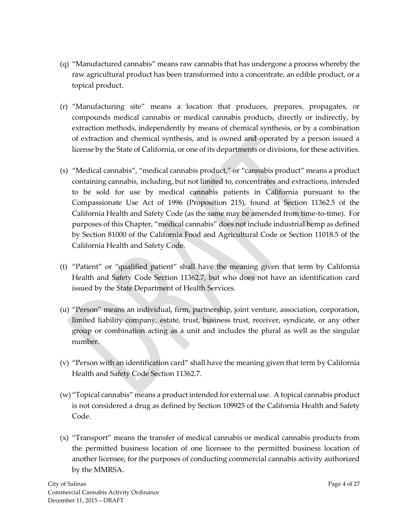- (q) "Manufactured cannabis" means raw cannabis that has undergone a process whereby the raw agricultural product has been transformed into a concentrate, an edible product, or a topical product.
- (r) "Manufacturing site" means a location that produces, prepares, propagates, or compounds medical cannabis or medical cannabis products, directly or indirectly, by extraction methods, independently by means of chemical synthesis, or by a combination of extraction and chemical synthesis, and is owned and operated by a person issued a license by the State of California, or one of its departments or divisions, for these activities.
- (s) "Medical cannabis", "medical cannabis product," or "cannabis product" means a product containing cannabis, including, but not limited to, concentrates and extractions, intended to be sold for use by medical cannabis patients in California pursuant to the Compassionate Use Act of 1996 (Proposition 215), found at Section 11362.5 of the California Health and Safety Code (as the same may be amended from time-to-time). For purposes of this Chapter, "medical cannabis" does not include industrial hemp as defined by Section 81000 of the California Food and Agricultural Code or Section 11018.5 of the California Health and Safety Code.
- (t) "Patient" or "qualified patient" shall have the meaning given that term by California Health and Safety Code Section 11362.7, but who does not have an identification card issued by the State Department of Health Services.
- (u) "Person" means an individual, firm, partnership, joint venture, association, corporation, limited liability company, estate, trust, business trust, receiver, syndicate, or any other group or combination acting as a unit and includes the plural as well as the singular number.
- (v) "Person with an identification card" shall have the meaning given that term by California Health and Safety Code Section 11362.7.
- (w) "Topical cannabis" means a product intended for external use. A topical cannabis product is not considered a drug as defined by Section 109925 of the California Health and Safety Code.
- (x) "Transport" means the transfer of medical cannabis or medical cannabis products from the permitted business location of one licensee to the permitted business location of another licensee, for the purposes of conducting commercial cannabis activity authorized by the MMRSA.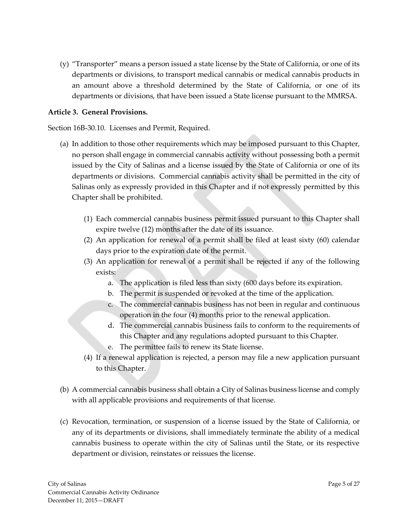(y) "Transporter" means a person issued a state license by the State of California, or one of its departments or divisions, to transport medical cannabis or medical cannabis products in an amount above a threshold determined by the State of California, or one of its departments or divisions, that have been issued a State license pursuant to the MMRSA.

### **Article 3. General Provisions.**

Section 16B-30.10. Licenses and Permit, Required.

- (a) In addition to those other requirements which may be imposed pursuant to this Chapter, no person shall engage in commercial cannabis activity without possessing both a permit issued by the City of Salinas and a license issued by the State of California or one of its departments or divisions. Commercial cannabis activity shall be permitted in the city of Salinas only as expressly provided in this Chapter and if not expressly permitted by this Chapter shall be prohibited.
	- (1) Each commercial cannabis business permit issued pursuant to this Chapter shall expire twelve (12) months after the date of its issuance.
	- (2) An application for renewal of a permit shall be filed at least sixty (60) calendar days prior to the expiration date of the permit.
	- (3) An application for renewal of a permit shall be rejected if any of the following exists:
		- a. The application is filed less than sixty (600 days before its expiration.
		- b. The permit is suspended or revoked at the time of the application.
		- c. The commercial cannabis business has not been in regular and continuous operation in the four (4) months prior to the renewal application.
		- d. The commercial cannabis business fails to conform to the requirements of this Chapter and any regulations adopted pursuant to this Chapter.
		- e. The permittee fails to renew its State license.
	- (4) If a renewal application is rejected, a person may file a new application pursuant to this Chapter.
- (b) A commercial cannabis business shall obtain a City of Salinas business license and comply with all applicable provisions and requirements of that license.
- (c) Revocation, termination, or suspension of a license issued by the State of California, or any of its departments or divisions, shall immediately terminate the ability of a medical cannabis business to operate within the city of Salinas until the State, or its respective department or division, reinstates or reissues the license.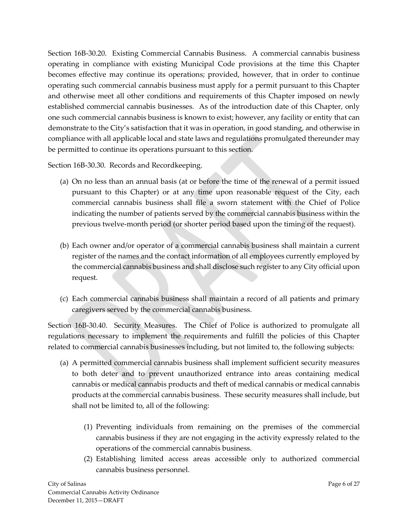Section 16B-30.20. Existing Commercial Cannabis Business. A commercial cannabis business operating in compliance with existing Municipal Code provisions at the time this Chapter becomes effective may continue its operations; provided, however, that in order to continue operating such commercial cannabis business must apply for a permit pursuant to this Chapter and otherwise meet all other conditions and requirements of this Chapter imposed on newly established commercial cannabis businesses. As of the introduction date of this Chapter, only one such commercial cannabis business is known to exist; however, any facility or entity that can demonstrate to the City's satisfaction that it was in operation, in good standing, and otherwise in compliance with all applicable local and state laws and regulations promulgated thereunder may be permitted to continue its operations pursuant to this section.

Section 16B-30.30. Records and Recordkeeping.

- (a) On no less than an annual basis (at or before the time of the renewal of a permit issued pursuant to this Chapter) or at any time upon reasonable request of the City, each commercial cannabis business shall file a sworn statement with the Chief of Police indicating the number of patients served by the commercial cannabis business within the previous twelve-month period (or shorter period based upon the timing of the request).
- (b) Each owner and/or operator of a commercial cannabis business shall maintain a current register of the names and the contact information of all employees currently employed by the commercial cannabis business and shall disclose such register to any City official upon request.
- (c) Each commercial cannabis business shall maintain a record of all patients and primary caregivers served by the commercial cannabis business.

Section 16B-30.40. Security Measures. The Chief of Police is authorized to promulgate all regulations necessary to implement the requirements and fulfill the policies of this Chapter related to commercial cannabis businesses including, but not limited to, the following subjects:

- (a) A permitted commercial cannabis business shall implement sufficient security measures to both deter and to prevent unauthorized entrance into areas containing medical cannabis or medical cannabis products and theft of medical cannabis or medical cannabis products at the commercial cannabis business. These security measures shall include, but shall not be limited to, all of the following:
	- (1) Preventing individuals from remaining on the premises of the commercial cannabis business if they are not engaging in the activity expressly related to the operations of the commercial cannabis business.
	- (2) Establishing limited access areas accessible only to authorized commercial cannabis business personnel.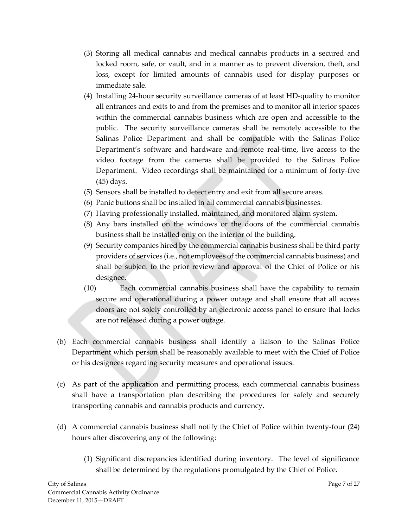- (3) Storing all medical cannabis and medical cannabis products in a secured and locked room, safe, or vault, and in a manner as to prevent diversion, theft, and loss, except for limited amounts of cannabis used for display purposes or immediate sale.
- (4) Installing 24-hour security surveillance cameras of at least HD-quality to monitor all entrances and exits to and from the premises and to monitor all interior spaces within the commercial cannabis business which are open and accessible to the public. The security surveillance cameras shall be remotely accessible to the Salinas Police Department and shall be compatible with the Salinas Police Department's software and hardware and remote real-time, live access to the video footage from the cameras shall be provided to the Salinas Police Department. Video recordings shall be maintained for a minimum of forty-five (45) days.
- (5) Sensors shall be installed to detect entry and exit from all secure areas.
- (6) Panic buttons shall be installed in all commercial cannabis businesses.
- (7) Having professionally installed, maintained, and monitored alarm system.
- (8) Any bars installed on the windows or the doors of the commercial cannabis business shall be installed only on the interior of the building.
- (9) Security companies hired by the commercial cannabis business shall be third party providers of services (i.e., not employees of the commercial cannabis business) and shall be subject to the prior review and approval of the Chief of Police or his designee.
- (10) Each commercial cannabis business shall have the capability to remain secure and operational during a power outage and shall ensure that all access doors are not solely controlled by an electronic access panel to ensure that locks are not released during a power outage.
- (b) Each commercial cannabis business shall identify a liaison to the Salinas Police Department which person shall be reasonably available to meet with the Chief of Police or his designees regarding security measures and operational issues.
- (c) As part of the application and permitting process, each commercial cannabis business shall have a transportation plan describing the procedures for safely and securely transporting cannabis and cannabis products and currency.
- (d) A commercial cannabis business shall notify the Chief of Police within twenty-four (24) hours after discovering any of the following:
	- (1) Significant discrepancies identified during inventory. The level of significance shall be determined by the regulations promulgated by the Chief of Police.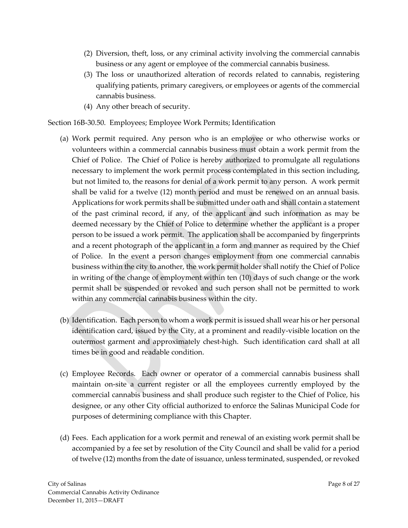- (2) Diversion, theft, loss, or any criminal activity involving the commercial cannabis business or any agent or employee of the commercial cannabis business.
- (3) The loss or unauthorized alteration of records related to cannabis, registering qualifying patients, primary caregivers, or employees or agents of the commercial cannabis business.
- (4) Any other breach of security.

## Section 16B-30.50. Employees; Employee Work Permits; Identification

- (a) Work permit required. Any person who is an employee or who otherwise works or volunteers within a commercial cannabis business must obtain a work permit from the Chief of Police. The Chief of Police is hereby authorized to promulgate all regulations necessary to implement the work permit process contemplated in this section including, but not limited to, the reasons for denial of a work permit to any person. A work permit shall be valid for a twelve (12) month period and must be renewed on an annual basis. Applications for work permits shall be submitted under oath and shall contain a statement of the past criminal record, if any, of the applicant and such information as may be deemed necessary by the Chief of Police to determine whether the applicant is a proper person to be issued a work permit. The application shall be accompanied by fingerprints and a recent photograph of the applicant in a form and manner as required by the Chief of Police. In the event a person changes employment from one commercial cannabis business within the city to another, the work permit holder shall notify the Chief of Police in writing of the change of employment within ten (10) days of such change or the work permit shall be suspended or revoked and such person shall not be permitted to work within any commercial cannabis business within the city.
- (b) Identification. Each person to whom a work permit is issued shall wear his or her personal identification card, issued by the City, at a prominent and readily-visible location on the outermost garment and approximately chest-high. Such identification card shall at all times be in good and readable condition.
- (c) Employee Records. Each owner or operator of a commercial cannabis business shall maintain on-site a current register or all the employees currently employed by the commercial cannabis business and shall produce such register to the Chief of Police, his designee, or any other City official authorized to enforce the Salinas Municipal Code for purposes of determining compliance with this Chapter.
- (d) Fees. Each application for a work permit and renewal of an existing work permit shall be accompanied by a fee set by resolution of the City Council and shall be valid for a period of twelve (12) months from the date of issuance, unless terminated, suspended, or revoked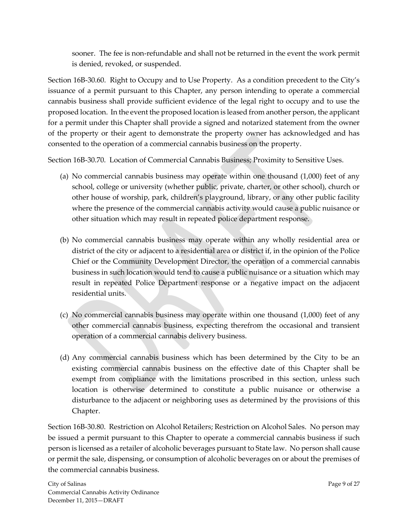sooner. The fee is non-refundable and shall not be returned in the event the work permit is denied, revoked, or suspended.

Section 16B-30.60. Right to Occupy and to Use Property. As a condition precedent to the City's issuance of a permit pursuant to this Chapter, any person intending to operate a commercial cannabis business shall provide sufficient evidence of the legal right to occupy and to use the proposed location. In the event the proposed location is leased from another person, the applicant for a permit under this Chapter shall provide a signed and notarized statement from the owner of the property or their agent to demonstrate the property owner has acknowledged and has consented to the operation of a commercial cannabis business on the property.

Section 16B-30.70. Location of Commercial Cannabis Business; Proximity to Sensitive Uses.

- (a) No commercial cannabis business may operate within one thousand (1,000) feet of any school, college or university (whether public, private, charter, or other school), church or other house of worship, park, children's playground, library, or any other public facility where the presence of the commercial cannabis activity would cause a public nuisance or other situation which may result in repeated police department response.
- (b) No commercial cannabis business may operate within any wholly residential area or district of the city or adjacent to a residential area or district if, in the opinion of the Police Chief or the Community Development Director, the operation of a commercial cannabis business in such location would tend to cause a public nuisance or a situation which may result in repeated Police Department response or a negative impact on the adjacent residential units.
- (c) No commercial cannabis business may operate within one thousand (1,000) feet of any other commercial cannabis business, expecting therefrom the occasional and transient operation of a commercial cannabis delivery business.
- (d) Any commercial cannabis business which has been determined by the City to be an existing commercial cannabis business on the effective date of this Chapter shall be exempt from compliance with the limitations proscribed in this section, unless such location is otherwise determined to constitute a public nuisance or otherwise a disturbance to the adjacent or neighboring uses as determined by the provisions of this Chapter.

Section 16B-30.80. Restriction on Alcohol Retailers; Restriction on Alcohol Sales. No person may be issued a permit pursuant to this Chapter to operate a commercial cannabis business if such person is licensed as a retailer of alcoholic beverages pursuant to State law. No person shall cause or permit the sale, dispensing, or consumption of alcoholic beverages on or about the premises of the commercial cannabis business.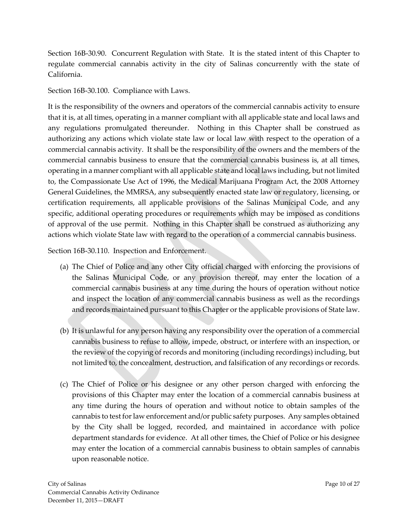Section 16B-30.90. Concurrent Regulation with State. It is the stated intent of this Chapter to regulate commercial cannabis activity in the city of Salinas concurrently with the state of California.

Section 16B-30.100. Compliance with Laws.

It is the responsibility of the owners and operators of the commercial cannabis activity to ensure that it is, at all times, operating in a manner compliant with all applicable state and local laws and any regulations promulgated thereunder. Nothing in this Chapter shall be construed as authorizing any actions which violate state law or local law with respect to the operation of a commercial cannabis activity. It shall be the responsibility of the owners and the members of the commercial cannabis business to ensure that the commercial cannabis business is, at all times, operating in a manner compliant with all applicable state and local laws including, but not limited to, the Compassionate Use Act of 1996, the Medical Marijuana Program Act, the 2008 Attorney General Guidelines, the MMRSA, any subsequently enacted state law or regulatory, licensing, or certification requirements, all applicable provisions of the Salinas Municipal Code, and any specific, additional operating procedures or requirements which may be imposed as conditions of approval of the use permit. Nothing in this Chapter shall be construed as authorizing any actions which violate State law with regard to the operation of a commercial cannabis business.

Section 16B-30.110. Inspection and Enforcement.

- (a) The Chief of Police and any other City official charged with enforcing the provisions of the Salinas Municipal Code, or any provision thereof, may enter the location of a commercial cannabis business at any time during the hours of operation without notice and inspect the location of any commercial cannabis business as well as the recordings and records maintained pursuant to this Chapter or the applicable provisions of State law.
- (b) It is unlawful for any person having any responsibility over the operation of a commercial cannabis business to refuse to allow, impede, obstruct, or interfere with an inspection, or the review of the copying of records and monitoring (including recordings) including, but not limited to, the concealment, destruction, and falsification of any recordings or records.
- (c) The Chief of Police or his designee or any other person charged with enforcing the provisions of this Chapter may enter the location of a commercial cannabis business at any time during the hours of operation and without notice to obtain samples of the cannabis to test for law enforcement and/or public safety purposes. Any samples obtained by the City shall be logged, recorded, and maintained in accordance with police department standards for evidence. At all other times, the Chief of Police or his designee may enter the location of a commercial cannabis business to obtain samples of cannabis upon reasonable notice.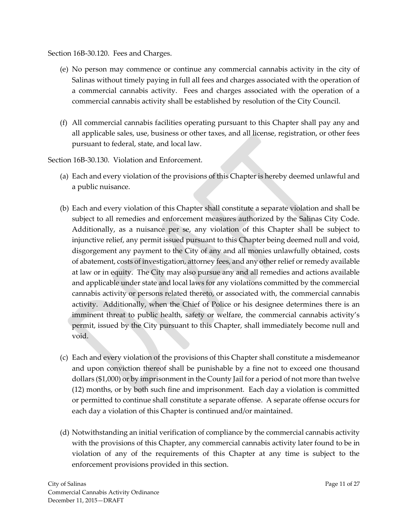Section 16B-30.120. Fees and Charges.

- (e) No person may commence or continue any commercial cannabis activity in the city of Salinas without timely paying in full all fees and charges associated with the operation of a commercial cannabis activity. Fees and charges associated with the operation of a commercial cannabis activity shall be established by resolution of the City Council.
- (f) All commercial cannabis facilities operating pursuant to this Chapter shall pay any and all applicable sales, use, business or other taxes, and all license, registration, or other fees pursuant to federal, state, and local law.

Section 16B-30.130. Violation and Enforcement.

- (a) Each and every violation of the provisions of this Chapter is hereby deemed unlawful and a public nuisance.
- (b) Each and every violation of this Chapter shall constitute a separate violation and shall be subject to all remedies and enforcement measures authorized by the Salinas City Code. Additionally, as a nuisance per se, any violation of this Chapter shall be subject to injunctive relief, any permit issued pursuant to this Chapter being deemed null and void, disgorgement any payment to the City of any and all monies unlawfully obtained, costs of abatement, costs of investigation, attorney fees, and any other relief or remedy available at law or in equity. The City may also pursue any and all remedies and actions available and applicable under state and local laws for any violations committed by the commercial cannabis activity or persons related thereto, or associated with, the commercial cannabis activity. Additionally, when the Chief of Police or his designee determines there is an imminent threat to public health, safety or welfare, the commercial cannabis activity's permit, issued by the City pursuant to this Chapter, shall immediately become null and void.
- (c) Each and every violation of the provisions of this Chapter shall constitute a misdemeanor and upon conviction thereof shall be punishable by a fine not to exceed one thousand dollars (\$1,000) or by imprisonment in the County Jail for a period of not more than twelve (12) months, or by both such fine and imprisonment. Each day a violation is committed or permitted to continue shall constitute a separate offense. A separate offense occurs for each day a violation of this Chapter is continued and/or maintained.
- (d) Notwithstanding an initial verification of compliance by the commercial cannabis activity with the provisions of this Chapter, any commercial cannabis activity later found to be in violation of any of the requirements of this Chapter at any time is subject to the enforcement provisions provided in this section.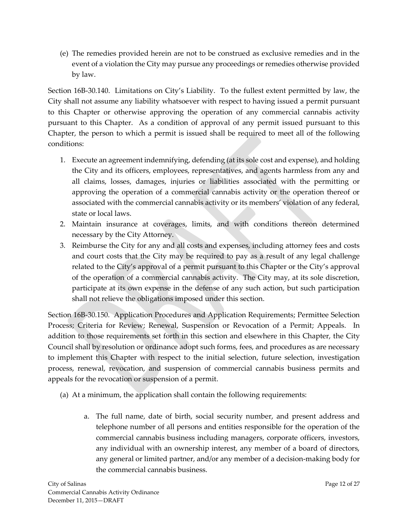(e) The remedies provided herein are not to be construed as exclusive remedies and in the event of a violation the City may pursue any proceedings or remedies otherwise provided by law.

Section 16B-30.140. Limitations on City's Liability. To the fullest extent permitted by law, the City shall not assume any liability whatsoever with respect to having issued a permit pursuant to this Chapter or otherwise approving the operation of any commercial cannabis activity pursuant to this Chapter. As a condition of approval of any permit issued pursuant to this Chapter, the person to which a permit is issued shall be required to meet all of the following conditions:

- 1. Execute an agreement indemnifying, defending (at its sole cost and expense), and holding the City and its officers, employees, representatives, and agents harmless from any and all claims, losses, damages, injuries or liabilities associated with the permitting or approving the operation of a commercial cannabis activity or the operation thereof or associated with the commercial cannabis activity or its members' violation of any federal, state or local laws.
- 2. Maintain insurance at coverages, limits, and with conditions thereon determined necessary by the City Attorney.
- 3. Reimburse the City for any and all costs and expenses, including attorney fees and costs and court costs that the City may be required to pay as a result of any legal challenge related to the City's approval of a permit pursuant to this Chapter or the City's approval of the operation of a commercial cannabis activity. The City may, at its sole discretion, participate at its own expense in the defense of any such action, but such participation shall not relieve the obligations imposed under this section.

Section 16B-30.150. Application Procedures and Application Requirements; Permittee Selection Process; Criteria for Review; Renewal, Suspension or Revocation of a Permit; Appeals. In addition to those requirements set forth in this section and elsewhere in this Chapter, the City Council shall by resolution or ordinance adopt such forms, fees, and procedures as are necessary to implement this Chapter with respect to the initial selection, future selection, investigation process, renewal, revocation, and suspension of commercial cannabis business permits and appeals for the revocation or suspension of a permit.

- (a) At a minimum, the application shall contain the following requirements:
	- a. The full name, date of birth, social security number, and present address and telephone number of all persons and entities responsible for the operation of the commercial cannabis business including managers, corporate officers, investors, any individual with an ownership interest, any member of a board of directors, any general or limited partner, and/or any member of a decision-making body for the commercial cannabis business.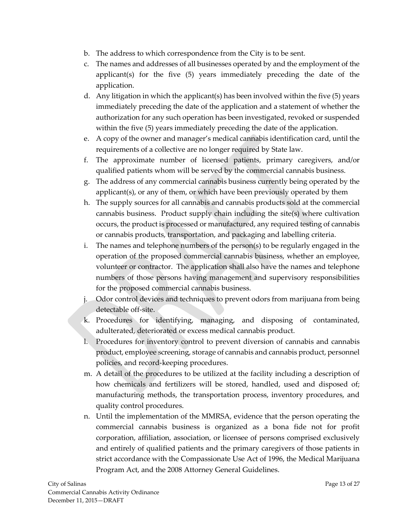- b. The address to which correspondence from the City is to be sent.
- c. The names and addresses of all businesses operated by and the employment of the applicant(s) for the five (5) years immediately preceding the date of the application.
- d. Any litigation in which the applicant(s) has been involved within the five (5) years immediately preceding the date of the application and a statement of whether the authorization for any such operation has been investigated, revoked or suspended within the five (5) years immediately preceding the date of the application.
- e. A copy of the owner and manager's medical cannabis identification card, until the requirements of a collective are no longer required by State law.
- f. The approximate number of licensed patients, primary caregivers, and/or qualified patients whom will be served by the commercial cannabis business.
- g. The address of any commercial cannabis business currently being operated by the applicant(s), or any of them, or which have been previously operated by them
- h. The supply sources for all cannabis and cannabis products sold at the commercial cannabis business. Product supply chain including the site(s) where cultivation occurs, the product is processed or manufactured, any required testing of cannabis or cannabis products, transportation, and packaging and labelling criteria.
- i. The names and telephone numbers of the person(s) to be regularly engaged in the operation of the proposed commercial cannabis business, whether an employee, volunteer or contractor. The application shall also have the names and telephone numbers of those persons having management and supervisory responsibilities for the proposed commercial cannabis business.
- j. Odor control devices and techniques to prevent odors from marijuana from being detectable off-site.
- k. Procedures for identifying, managing, and disposing of contaminated, adulterated, deteriorated or excess medical cannabis product.
- l. Procedures for inventory control to prevent diversion of cannabis and cannabis product, employee screening, storage of cannabis and cannabis product, personnel policies, and record-keeping procedures.
- m. A detail of the procedures to be utilized at the facility including a description of how chemicals and fertilizers will be stored, handled, used and disposed of; manufacturing methods, the transportation process, inventory procedures, and quality control procedures.
- n. Until the implementation of the MMRSA, evidence that the person operating the commercial cannabis business is organized as a bona fide not for profit corporation, affiliation, association, or licensee of persons comprised exclusively and entirely of qualified patients and the primary caregivers of those patients in strict accordance with the Compassionate Use Act of 1996, the Medical Marijuana Program Act, and the 2008 Attorney General Guidelines.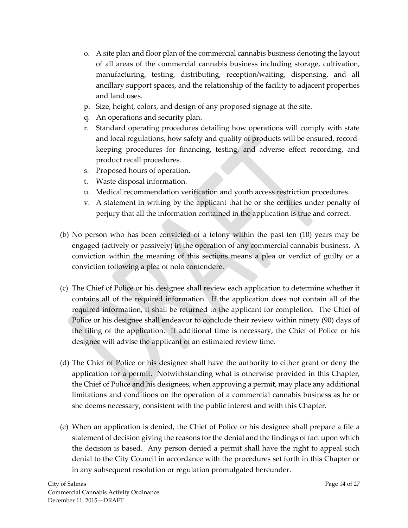- o. A site plan and floor plan of the commercial cannabis business denoting the layout of all areas of the commercial cannabis business including storage, cultivation, manufacturing, testing, distributing, reception/waiting, dispensing, and all ancillary support spaces, and the relationship of the facility to adjacent properties and land uses.
- p. Size, height, colors, and design of any proposed signage at the site.
- q. An operations and security plan.
- r. Standard operating procedures detailing how operations will comply with state and local regulations, how safety and quality of products will be ensured, recordkeeping procedures for financing, testing, and adverse effect recording, and product recall procedures.
- s. Proposed hours of operation.
- t. Waste disposal information.
- u. Medical recommendation verification and youth access restriction procedures.
- v. A statement in writing by the applicant that he or she certifies under penalty of perjury that all the information contained in the application is true and correct.
- (b) No person who has been convicted of a felony within the past ten (10) years may be engaged (actively or passively) in the operation of any commercial cannabis business. A conviction within the meaning of this sections means a plea or verdict of guilty or a conviction following a plea of nolo contendere.
- (c) The Chief of Police or his designee shall review each application to determine whether it contains all of the required information. If the application does not contain all of the required information, it shall be returned to the applicant for completion. The Chief of Police or his designee shall endeavor to conclude their review within ninety (90) days of the filing of the application. If additional time is necessary, the Chief of Police or his designee will advise the applicant of an estimated review time.
- (d) The Chief of Police or his designee shall have the authority to either grant or deny the application for a permit. Notwithstanding what is otherwise provided in this Chapter, the Chief of Police and his designees, when approving a permit, may place any additional limitations and conditions on the operation of a commercial cannabis business as he or she deems necessary, consistent with the public interest and with this Chapter.
- (e) When an application is denied, the Chief of Police or his designee shall prepare a file a statement of decision giving the reasons for the denial and the findings of fact upon which the decision is based. Any person denied a permit shall have the right to appeal such denial to the City Council in accordance with the procedures set forth in this Chapter or in any subsequent resolution or regulation promulgated hereunder.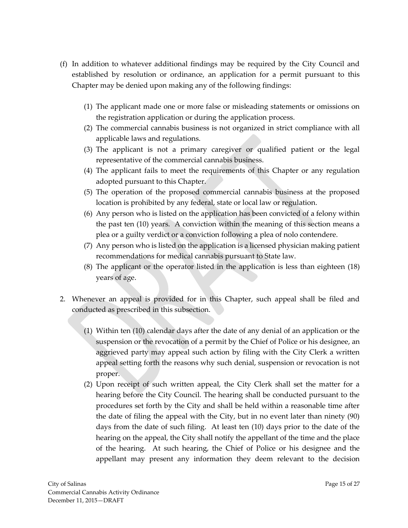- (f) In addition to whatever additional findings may be required by the City Council and established by resolution or ordinance, an application for a permit pursuant to this Chapter may be denied upon making any of the following findings:
	- (1) The applicant made one or more false or misleading statements or omissions on the registration application or during the application process.
	- (2) The commercial cannabis business is not organized in strict compliance with all applicable laws and regulations.
	- (3) The applicant is not a primary caregiver or qualified patient or the legal representative of the commercial cannabis business.
	- (4) The applicant fails to meet the requirements of this Chapter or any regulation adopted pursuant to this Chapter.
	- (5) The operation of the proposed commercial cannabis business at the proposed location is prohibited by any federal, state or local law or regulation.
	- (6) Any person who is listed on the application has been convicted of a felony within the past ten (10) years. A conviction within the meaning of this section means a plea or a guilty verdict or a conviction following a plea of nolo contendere.
	- (7) Any person who is listed on the application is a licensed physician making patient recommendations for medical cannabis pursuant to State law.
	- (8) The applicant or the operator listed in the application is less than eighteen (18) years of age.
- 2. Whenever an appeal is provided for in this Chapter, such appeal shall be filed and conducted as prescribed in this subsection.
	- (1) Within ten (10) calendar days after the date of any denial of an application or the suspension or the revocation of a permit by the Chief of Police or his designee, an aggrieved party may appeal such action by filing with the City Clerk a written appeal setting forth the reasons why such denial, suspension or revocation is not proper.
	- (2) Upon receipt of such written appeal, the City Clerk shall set the matter for a hearing before the City Council. The hearing shall be conducted pursuant to the procedures set forth by the City and shall be held within a reasonable time after the date of filing the appeal with the City, but in no event later than ninety (90) days from the date of such filing. At least ten (10) days prior to the date of the hearing on the appeal, the City shall notify the appellant of the time and the place of the hearing. At such hearing, the Chief of Police or his designee and the appellant may present any information they deem relevant to the decision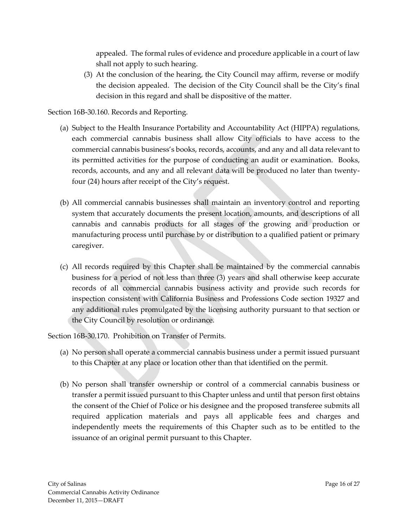appealed. The formal rules of evidence and procedure applicable in a court of law shall not apply to such hearing.

(3) At the conclusion of the hearing, the City Council may affirm, reverse or modify the decision appealed. The decision of the City Council shall be the City's final decision in this regard and shall be dispositive of the matter.

Section 16B-30.160. Records and Reporting.

- (a) Subject to the Health Insurance Portability and Accountability Act (HIPPA) regulations, each commercial cannabis business shall allow City officials to have access to the commercial cannabis business's books, records, accounts, and any and all data relevant to its permitted activities for the purpose of conducting an audit or examination. Books, records, accounts, and any and all relevant data will be produced no later than twentyfour (24) hours after receipt of the City's request.
- (b) All commercial cannabis businesses shall maintain an inventory control and reporting system that accurately documents the present location, amounts, and descriptions of all cannabis and cannabis products for all stages of the growing and production or manufacturing process until purchase by or distribution to a qualified patient or primary caregiver.
- (c) All records required by this Chapter shall be maintained by the commercial cannabis business for a period of not less than three (3) years and shall otherwise keep accurate records of all commercial cannabis business activity and provide such records for inspection consistent with California Business and Professions Code section 19327 and any additional rules promulgated by the licensing authority pursuant to that section or the City Council by resolution or ordinance.

Section 16B-30.170. Prohibition on Transfer of Permits.

- (a) No person shall operate a commercial cannabis business under a permit issued pursuant to this Chapter at any place or location other than that identified on the permit.
- (b) No person shall transfer ownership or control of a commercial cannabis business or transfer a permit issued pursuant to this Chapter unless and until that person first obtains the consent of the Chief of Police or his designee and the proposed transferee submits all required application materials and pays all applicable fees and charges and independently meets the requirements of this Chapter such as to be entitled to the issuance of an original permit pursuant to this Chapter.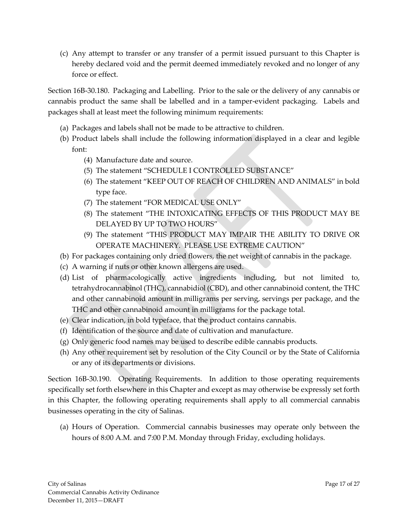(c) Any attempt to transfer or any transfer of a permit issued pursuant to this Chapter is hereby declared void and the permit deemed immediately revoked and no longer of any force or effect.

Section 16B-30.180. Packaging and Labelling. Prior to the sale or the delivery of any cannabis or cannabis product the same shall be labelled and in a tamper-evident packaging. Labels and packages shall at least meet the following minimum requirements:

- (a) Packages and labels shall not be made to be attractive to children.
- (b) Product labels shall include the following information displayed in a clear and legible font:
	- (4) Manufacture date and source.
	- (5) The statement "SCHEDULE I CONTROLLED SUBSTANCE"
	- (6) The statement "KEEP OUT OF REACH OF CHILDREN AND ANIMALS" in bold type face.
	- (7) The statement "FOR MEDICAL USE ONLY"
	- (8) The statement "THE INTOXICATING EFFECTS OF THIS PRODUCT MAY BE DELAYED BY UP TO TWO HOURS"
	- (9) The statement "THIS PRODUCT MAY IMPAIR THE ABILITY TO DRIVE OR OPERATE MACHINERY. PLEASE USE EXTREME CAUTION"
- (b) For packages containing only dried flowers, the net weight of cannabis in the package.
- (c) A warning if nuts or other known allergens are used.
- (d) List of pharmacologically active ingredients including, but not limited to, tetrahydrocannabinol (THC), cannabidiol (CBD), and other cannabinoid content, the THC and other cannabinoid amount in milligrams per serving, servings per package, and the THC and other cannabinoid amount in milligrams for the package total.
- (e) Clear indication, in bold typeface, that the product contains cannabis.
- (f) Identification of the source and date of cultivation and manufacture.
- (g) Only generic food names may be used to describe edible cannabis products.
- (h) Any other requirement set by resolution of the City Council or by the State of California or any of its departments or divisions.

Section 16B-30.190. Operating Requirements. In addition to those operating requirements specifically set forth elsewhere in this Chapter and except as may otherwise be expressly set forth in this Chapter, the following operating requirements shall apply to all commercial cannabis businesses operating in the city of Salinas.

(a) Hours of Operation. Commercial cannabis businesses may operate only between the hours of 8:00 A.M. and 7:00 P.M. Monday through Friday, excluding holidays.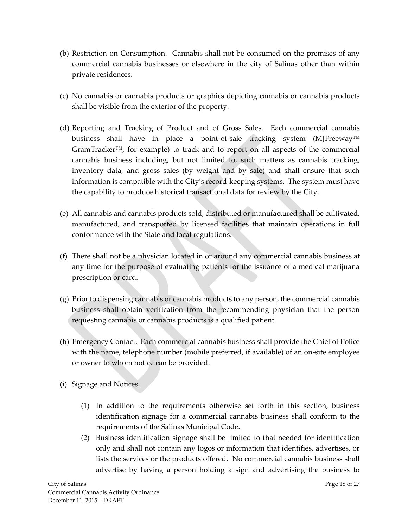- (b) Restriction on Consumption. Cannabis shall not be consumed on the premises of any commercial cannabis businesses or elsewhere in the city of Salinas other than within private residences.
- (c) No cannabis or cannabis products or graphics depicting cannabis or cannabis products shall be visible from the exterior of the property.
- (d) Reporting and Tracking of Product and of Gross Sales. Each commercial cannabis business shall have in place a point-of-sale tracking system (MJFreeway™ GramTracker™, for example) to track and to report on all aspects of the commercial cannabis business including, but not limited to, such matters as cannabis tracking, inventory data, and gross sales (by weight and by sale) and shall ensure that such information is compatible with the City's record-keeping systems. The system must have the capability to produce historical transactional data for review by the City.
- (e) All cannabis and cannabis products sold, distributed or manufactured shall be cultivated, manufactured, and transported by licensed facilities that maintain operations in full conformance with the State and local regulations.
- (f) There shall not be a physician located in or around any commercial cannabis business at any time for the purpose of evaluating patients for the issuance of a medical marijuana prescription or card.
- (g) Prior to dispensing cannabis or cannabis products to any person, the commercial cannabis business shall obtain verification from the recommending physician that the person requesting cannabis or cannabis products is a qualified patient.
- (h) Emergency Contact. Each commercial cannabis business shall provide the Chief of Police with the name, telephone number (mobile preferred, if available) of an on-site employee or owner to whom notice can be provided.
- (i) Signage and Notices.
	- (1) In addition to the requirements otherwise set forth in this section, business identification signage for a commercial cannabis business shall conform to the requirements of the Salinas Municipal Code.
	- (2) Business identification signage shall be limited to that needed for identification only and shall not contain any logos or information that identifies, advertises, or lists the services or the products offered. No commercial cannabis business shall advertise by having a person holding a sign and advertising the business to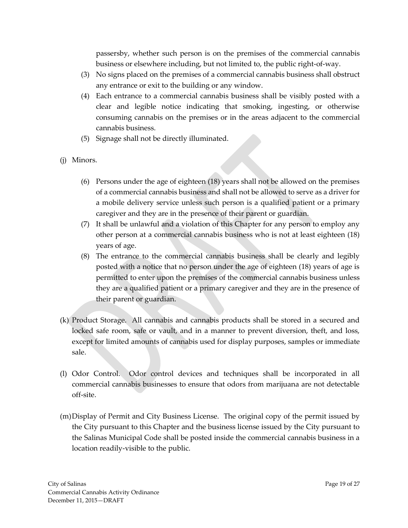passersby, whether such person is on the premises of the commercial cannabis business or elsewhere including, but not limited to, the public right-of-way.

- (3) No signs placed on the premises of a commercial cannabis business shall obstruct any entrance or exit to the building or any window.
- (4) Each entrance to a commercial cannabis business shall be visibly posted with a clear and legible notice indicating that smoking, ingesting, or otherwise consuming cannabis on the premises or in the areas adjacent to the commercial cannabis business.
- (5) Signage shall not be directly illuminated.
- (j) Minors.
	- (6) Persons under the age of eighteen (18) years shall not be allowed on the premises of a commercial cannabis business and shall not be allowed to serve as a driver for a mobile delivery service unless such person is a qualified patient or a primary caregiver and they are in the presence of their parent or guardian.
	- (7) It shall be unlawful and a violation of this Chapter for any person to employ any other person at a commercial cannabis business who is not at least eighteen (18) years of age.
	- (8) The entrance to the commercial cannabis business shall be clearly and legibly posted with a notice that no person under the age of eighteen (18) years of age is permitted to enter upon the premises of the commercial cannabis business unless they are a qualified patient or a primary caregiver and they are in the presence of their parent or guardian.
- (k) Product Storage. All cannabis and cannabis products shall be stored in a secured and locked safe room, safe or vault, and in a manner to prevent diversion, theft, and loss, except for limited amounts of cannabis used for display purposes, samples or immediate sale.
- (l) Odor Control. Odor control devices and techniques shall be incorporated in all commercial cannabis businesses to ensure that odors from marijuana are not detectable off-site.
- (m)Display of Permit and City Business License. The original copy of the permit issued by the City pursuant to this Chapter and the business license issued by the City pursuant to the Salinas Municipal Code shall be posted inside the commercial cannabis business in a location readily-visible to the public.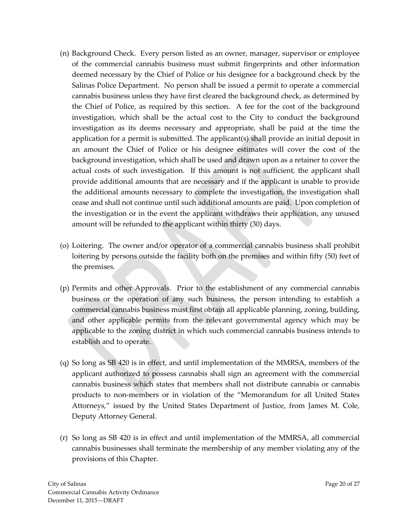- (n) Background Check. Every person listed as an owner, manager, supervisor or employee of the commercial cannabis business must submit fingerprints and other information deemed necessary by the Chief of Police or his designee for a background check by the Salinas Police Department. No person shall be issued a permit to operate a commercial cannabis business unless they have first cleared the background check, as determined by the Chief of Police, as required by this section. A fee for the cost of the background investigation, which shall be the actual cost to the City to conduct the background investigation as its deems necessary and appropriate, shall be paid at the time the application for a permit is submitted. The applicant(s) shall provide an initial deposit in an amount the Chief of Police or his designee estimates will cover the cost of the background investigation, which shall be used and drawn upon as a retainer to cover the actual costs of such investigation. If this amount is not sufficient, the applicant shall provide additional amounts that are necessary and if the applicant is unable to provide the additional amounts necessary to complete the investigation, the investigation shall cease and shall not continue until such additional amounts are paid. Upon completion of the investigation or in the event the applicant withdraws their application, any unused amount will be refunded to the applicant within thirty (30) days.
- (o) Loitering. The owner and/or operator of a commercial cannabis business shall prohibit loitering by persons outside the facility both on the premises and within fifty (50) feet of the premises.
- (p) Permits and other Approvals. Prior to the establishment of any commercial cannabis business or the operation of any such business, the person intending to establish a commercial cannabis business must first obtain all applicable planning, zoning, building, and other applicable permits from the relevant governmental agency which may be applicable to the zoning district in which such commercial cannabis business intends to establish and to operate.
- (q) So long as SB 420 is in effect, and until implementation of the MMRSA, members of the applicant authorized to possess cannabis shall sign an agreement with the commercial cannabis business which states that members shall not distribute cannabis or cannabis products to non-members or in violation of the "Memorandum for all United States Attorneys," issued by the United States Department of Justice, from James M. Cole, Deputy Attorney General.
- (r) So long as SB 420 is in effect and until implementation of the MMRSA, all commercial cannabis businesses shall terminate the membership of any member violating any of the provisions of this Chapter.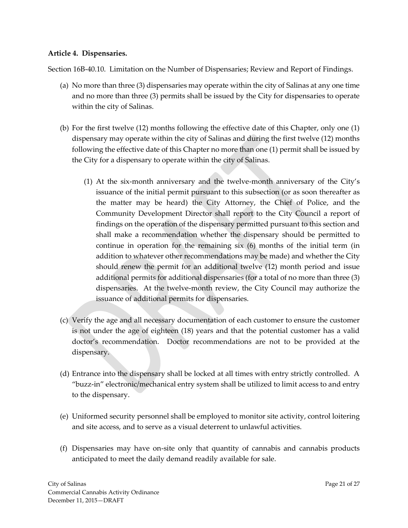### **Article 4. Dispensaries.**

Section 16B-40.10. Limitation on the Number of Dispensaries; Review and Report of Findings.

- (a) No more than three (3) dispensaries may operate within the city of Salinas at any one time and no more than three (3) permits shall be issued by the City for dispensaries to operate within the city of Salinas.
- (b) For the first twelve (12) months following the effective date of this Chapter, only one (1) dispensary may operate within the city of Salinas and during the first twelve (12) months following the effective date of this Chapter no more than one (1) permit shall be issued by the City for a dispensary to operate within the city of Salinas.
	- (1) At the six-month anniversary and the twelve-month anniversary of the City's issuance of the initial permit pursuant to this subsection (or as soon thereafter as the matter may be heard) the City Attorney, the Chief of Police, and the Community Development Director shall report to the City Council a report of findings on the operation of the dispensary permitted pursuant to this section and shall make a recommendation whether the dispensary should be permitted to continue in operation for the remaining six (6) months of the initial term (in addition to whatever other recommendations may be made) and whether the City should renew the permit for an additional twelve (12) month period and issue additional permits for additional dispensaries (for a total of no more than three (3) dispensaries. At the twelve-month review, the City Council may authorize the issuance of additional permits for dispensaries.
- (c) Verify the age and all necessary documentation of each customer to ensure the customer is not under the age of eighteen (18) years and that the potential customer has a valid doctor's recommendation. Doctor recommendations are not to be provided at the dispensary.
- (d) Entrance into the dispensary shall be locked at all times with entry strictly controlled. A "buzz-in" electronic/mechanical entry system shall be utilized to limit access to and entry to the dispensary.
- (e) Uniformed security personnel shall be employed to monitor site activity, control loitering and site access, and to serve as a visual deterrent to unlawful activities.
- (f) Dispensaries may have on-site only that quantity of cannabis and cannabis products anticipated to meet the daily demand readily available for sale.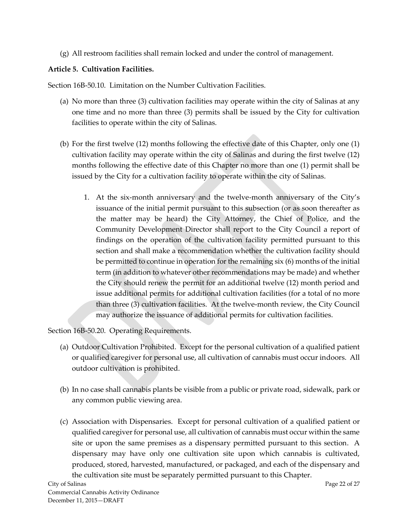(g) All restroom facilities shall remain locked and under the control of management.

# **Article 5. Cultivation Facilities.**

Section 16B-50.10. Limitation on the Number Cultivation Facilities.

- (a) No more than three (3) cultivation facilities may operate within the city of Salinas at any one time and no more than three (3) permits shall be issued by the City for cultivation facilities to operate within the city of Salinas.
- (b) For the first twelve (12) months following the effective date of this Chapter, only one (1) cultivation facility may operate within the city of Salinas and during the first twelve (12) months following the effective date of this Chapter no more than one (1) permit shall be issued by the City for a cultivation facility to operate within the city of Salinas.
	- 1. At the six-month anniversary and the twelve-month anniversary of the City's issuance of the initial permit pursuant to this subsection (or as soon thereafter as the matter may be heard) the City Attorney, the Chief of Police, and the Community Development Director shall report to the City Council a report of findings on the operation of the cultivation facility permitted pursuant to this section and shall make a recommendation whether the cultivation facility should be permitted to continue in operation for the remaining six (6) months of the initial term (in addition to whatever other recommendations may be made) and whether the City should renew the permit for an additional twelve (12) month period and issue additional permits for additional cultivation facilities (for a total of no more than three (3) cultivation facilities. At the twelve-month review, the City Council may authorize the issuance of additional permits for cultivation facilities.

Section 16B-50.20. Operating Requirements.

- (a) Outdoor Cultivation Prohibited. Except for the personal cultivation of a qualified patient or qualified caregiver for personal use, all cultivation of cannabis must occur indoors. All outdoor cultivation is prohibited.
- (b) In no case shall cannabis plants be visible from a public or private road, sidewalk, park or any common public viewing area.
- (c) Association with Dispensaries. Except for personal cultivation of a qualified patient or qualified caregiver for personal use, all cultivation of cannabis must occur within the same site or upon the same premises as a dispensary permitted pursuant to this section. A dispensary may have only one cultivation site upon which cannabis is cultivated, produced, stored, harvested, manufactured, or packaged, and each of the dispensary and the cultivation site must be separately permitted pursuant to this Chapter.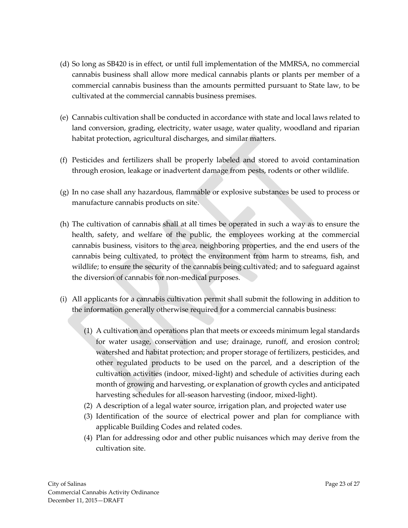- (d) So long as SB420 is in effect, or until full implementation of the MMRSA, no commercial cannabis business shall allow more medical cannabis plants or plants per member of a commercial cannabis business than the amounts permitted pursuant to State law, to be cultivated at the commercial cannabis business premises.
- (e) Cannabis cultivation shall be conducted in accordance with state and local laws related to land conversion, grading, electricity, water usage, water quality, woodland and riparian habitat protection, agricultural discharges, and similar matters.
- (f) Pesticides and fertilizers shall be properly labeled and stored to avoid contamination through erosion, leakage or inadvertent damage from pests, rodents or other wildlife.
- (g) In no case shall any hazardous, flammable or explosive substances be used to process or manufacture cannabis products on site.
- (h) The cultivation of cannabis shall at all times be operated in such a way as to ensure the health, safety, and welfare of the public, the employees working at the commercial cannabis business, visitors to the area, neighboring properties, and the end users of the cannabis being cultivated, to protect the environment from harm to streams, fish, and wildlife; to ensure the security of the cannabis being cultivated; and to safeguard against the diversion of cannabis for non-medical purposes.
- (i) All applicants for a cannabis cultivation permit shall submit the following in addition to the information generally otherwise required for a commercial cannabis business:
	- (1) A cultivation and operations plan that meets or exceeds minimum legal standards for water usage, conservation and use; drainage, runoff, and erosion control; watershed and habitat protection; and proper storage of fertilizers, pesticides, and other regulated products to be used on the parcel, and a description of the cultivation activities (indoor, mixed-light) and schedule of activities during each month of growing and harvesting, or explanation of growth cycles and anticipated harvesting schedules for all-season harvesting (indoor, mixed-light).
	- (2) A description of a legal water source, irrigation plan, and projected water use
	- (3) Identification of the source of electrical power and plan for compliance with applicable Building Codes and related codes.
	- (4) Plan for addressing odor and other public nuisances which may derive from the cultivation site.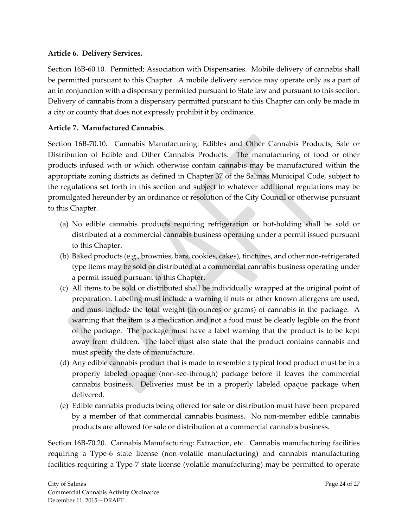## **Article 6. Delivery Services.**

Section 16B-60.10. Permitted; Association with Dispensaries. Mobile delivery of cannabis shall be permitted pursuant to this Chapter. A mobile delivery service may operate only as a part of an in conjunction with a dispensary permitted pursuant to State law and pursuant to this section. Delivery of cannabis from a dispensary permitted pursuant to this Chapter can only be made in a city or county that does not expressly prohibit it by ordinance.

## **Article 7. Manufactured Cannabis.**

Section 16B-70.10. Cannabis Manufacturing: Edibles and Other Cannabis Products; Sale or Distribution of Edible and Other Cannabis Products. The manufacturing of food or other products infused with or which otherwise contain cannabis may be manufactured within the appropriate zoning districts as defined in Chapter 37 of the Salinas Municipal Code, subject to the regulations set forth in this section and subject to whatever additional regulations may be promulgated hereunder by an ordinance or resolution of the City Council or otherwise pursuant to this Chapter.

- (a) No edible cannabis products requiring refrigeration or hot-holding shall be sold or distributed at a commercial cannabis business operating under a permit issued pursuant to this Chapter.
- (b) Baked products (e.g., brownies, bars, cookies, cakes), tinctures, and other non-refrigerated type items may be sold or distributed at a commercial cannabis business operating under a permit issued pursuant to this Chapter.
- (c) All items to be sold or distributed shall be individually wrapped at the original point of preparation. Labeling must include a warning if nuts or other known allergens are used, and must include the total weight (in ounces or grams) of cannabis in the package. A warning that the item is a medication and not a food must be clearly legible on the front of the package. The package must have a label warning that the product is to be kept away from children. The label must also state that the product contains cannabis and must specify the date of manufacture.
- (d) Any edible cannabis product that is made to resemble a typical food product must be in a properly labeled opaque (non-see-through) package before it leaves the commercial cannabis business. Deliveries must be in a properly labeled opaque package when delivered.
- (e) Edible cannabis products being offered for sale or distribution must have been prepared by a member of that commercial cannabis business. No non-member edible cannabis products are allowed for sale or distribution at a commercial cannabis business.

Section 16B-70.20. Cannabis Manufacturing: Extraction, etc. Cannabis manufacturing facilities requiring a Type-6 state license (non-volatile manufacturing) and cannabis manufacturing facilities requiring a Type-7 state license (volatile manufacturing) may be permitted to operate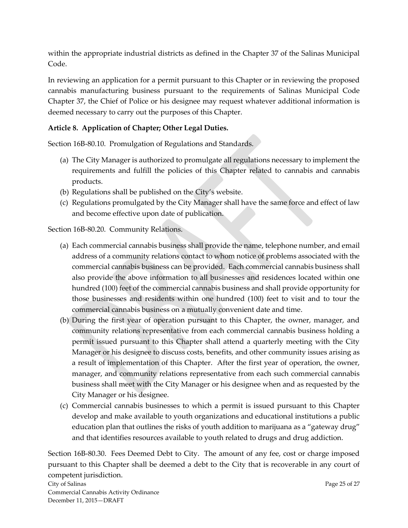within the appropriate industrial districts as defined in the Chapter 37 of the Salinas Municipal Code.

In reviewing an application for a permit pursuant to this Chapter or in reviewing the proposed cannabis manufacturing business pursuant to the requirements of Salinas Municipal Code Chapter 37, the Chief of Police or his designee may request whatever additional information is deemed necessary to carry out the purposes of this Chapter.

# **Article 8. Application of Chapter; Other Legal Duties.**

Section 16B-80.10. Promulgation of Regulations and Standards.

- (a) The City Manager is authorized to promulgate all regulations necessary to implement the requirements and fulfill the policies of this Chapter related to cannabis and cannabis products.
- (b) Regulations shall be published on the City's website.
- (c) Regulations promulgated by the City Manager shall have the same force and effect of law and become effective upon date of publication.

Section 16B-80.20. Community Relations.

- (a) Each commercial cannabis business shall provide the name, telephone number, and email address of a community relations contact to whom notice of problems associated with the commercial cannabis business can be provided. Each commercial cannabis business shall also provide the above information to all businesses and residences located within one hundred (100) feet of the commercial cannabis business and shall provide opportunity for those businesses and residents within one hundred (100) feet to visit and to tour the commercial cannabis business on a mutually convenient date and time.
- (b) During the first year of operation pursuant to this Chapter, the owner, manager, and community relations representative from each commercial cannabis business holding a permit issued pursuant to this Chapter shall attend a quarterly meeting with the City Manager or his designee to discuss costs, benefits, and other community issues arising as a result of implementation of this Chapter. After the first year of operation, the owner, manager, and community relations representative from each such commercial cannabis business shall meet with the City Manager or his designee when and as requested by the City Manager or his designee.
- (c) Commercial cannabis businesses to which a permit is issued pursuant to this Chapter develop and make available to youth organizations and educational institutions a public education plan that outlines the risks of youth addition to marijuana as a "gateway drug" and that identifies resources available to youth related to drugs and drug addiction.

City of Salinas Page 25 of 27 Section 16B-80.30. Fees Deemed Debt to City. The amount of any fee, cost or charge imposed pursuant to this Chapter shall be deemed a debt to the City that is recoverable in any court of competent jurisdiction.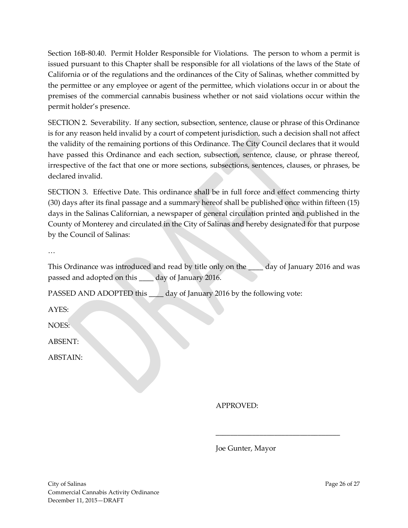Section 16B-80.40. Permit Holder Responsible for Violations. The person to whom a permit is issued pursuant to this Chapter shall be responsible for all violations of the laws of the State of California or of the regulations and the ordinances of the City of Salinas, whether committed by the permittee or any employee or agent of the permittee, which violations occur in or about the premises of the commercial cannabis business whether or not said violations occur within the permit holder's presence.

SECTION 2. Severability. If any section, subsection, sentence, clause or phrase of this Ordinance is for any reason held invalid by a court of competent jurisdiction, such a decision shall not affect the validity of the remaining portions of this Ordinance. The City Council declares that it would have passed this Ordinance and each section, subsection, sentence, clause, or phrase thereof, irrespective of the fact that one or more sections, subsections, sentences, clauses, or phrases, be declared invalid.

SECTION 3. Effective Date. This ordinance shall be in full force and effect commencing thirty (30) days after its final passage and a summary hereof shall be published once within fifteen (15) days in the Salinas Californian, a newspaper of general circulation printed and published in the County of Monterey and circulated in the City of Salinas and hereby designated for that purpose by the Council of Salinas:

…

This Ordinance was introduced and read by title only on the <u>secure day</u> of January 2016 and was passed and adopted on this \_\_\_\_ day of January 2016.

PASSED AND ADOPTED this \_\_\_\_ day of January 2016 by the following vote:

AYES:

NOES:

ABSENT:

ABSTAIN:

APPROVED:

Joe Gunter, Mayor

\_\_\_\_\_\_\_\_\_\_\_\_\_\_\_\_\_\_\_\_\_\_\_\_\_\_\_\_\_\_\_\_\_\_